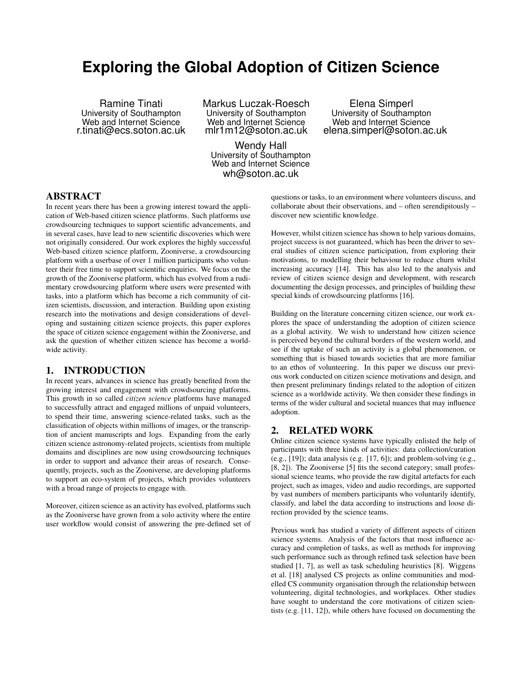# **Exploring the Global Adoption of Citizen Science**

Ramine Tinati University of Southampton Web and Internet Science r.tinati@ecs.soton.ac.uk Markus Luczak-Roesch University of Southampton Web and Internet Science mlr1m12@soton.ac.uk

Wendy Hall University of Southampton Web and Internet Science wh@soton.ac.uk

Elena Simperl University of Southampton Web and Internet Science elena.simperl@soton.ac.uk

ABSTRACT

In recent years there has been a growing interest toward the application of Web-based citizen science platforms. Such platforms use crowdsourcing techniques to support scientific advancements, and in several cases, have lead to new scientific discoveries which were not originally considered. Our work explores the highly successful Web-based citizen science platform, Zooniverse, a crowdsourcing platform with a userbase of over 1 million participants who volunteer their free time to support scientific enquiries. We focus on the growth of the Zooniverse platform, which has evolved from a rudimentary crowdsourcing platform where users were presented with tasks, into a platform which has become a rich community of citizen scientists, discussion, and interaction. Building upon existing research into the motivations and design considerations of developing and sustaining citizen science projects, this paper explores the space of citizen science engagement within the Zooniverse, and ask the question of whether citizen science has become a worldwide activity.

## 1. INTRODUCTION

In recent years, advances in science has greatly benefited from the growing interest and engagement with crowdsourcing platforms. This growth in so called *citizen science* platforms have managed to successfully attract and engaged millions of unpaid volunteers, to spend their time, answering science-related tasks, such as the classification of objects within millions of images, or the transcription of ancient manuscripts and logs. Expanding from the early citizen science astronomy-related projects, scientists from multiple domains and disciplines are now using crowdsourcing techniques in order to support and advance their areas of research. Consequently, projects, such as the Zooniverse, are developing platforms to support an eco-system of projects, which provides volunteers with a broad range of projects to engage with.

Moreover, citizen science as an activity has evolved, platforms such as the Zooniverse have grown from a solo activity where the entire user workflow would consist of answering the pre-defined set of questions or tasks, to an environment where volunteers discuss, and collaborate about their observations, and – often serendipitously – discover new scientific knowledge.

However, whilst citizen science has shown to help various domains, project success is not guaranteed, which has been the driver to several studies of citizen science participation, from exploring their motivations, to modelling their behaviour to reduce churn whilst increasing accuracy [14]. This has also led to the analysis and review of citizen science design and development, with research documenting the design processes, and principles of building these special kinds of crowdsourcing platforms [16].

Building on the literature concerning citizen science, our work explores the space of understanding the adoption of citizen science as a global activity. We wish to understand how citizen science is perceived beyond the cultural borders of the western world, and see if the uptake of such an activity is a global phenomenon, or something that is biased towards societies that are more familiar to an ethos of volunteering. In this paper we discuss our previous work conducted on citizen science motivations and design, and then present preliminary findings related to the adoption of citizen science as a worldwide activity. We then consider these findings in terms of the wider cultural and societal nuances that may influence adoption.

### 2. RELATED WORK

Online citizen science systems have typically enlisted the help of participants with three kinds of activities: data collection/curation (e.g.,  $[19]$ ); data analysis (e.g.  $[17, 6]$ ); and problem-solving (e.g., [8, 2]). The Zooniverse [5] fits the second category; small professional science teams, who provide the raw digital artefacts for each project, such as images, video and audio recordings, are supported by vast numbers of members participants who voluntarily identify, classify, and label the data according to instructions and loose direction provided by the science teams.

Previous work has studied a variety of different aspects of citizen science systems. Analysis of the factors that most influence accuracy and completion of tasks, as well as methods for improving such performance such as through refined task selection have been studied [1, 7], as well as task scheduling heuristics [8]. Wiggens et al. [18] analysed CS projects as online communities and modelled CS community organisation through the relationship between volunteering, digital technologies, and workplaces. Other studies have sought to understand the core motivations of citizen scientists (e.g. [11, 12]), while others have focused on documenting the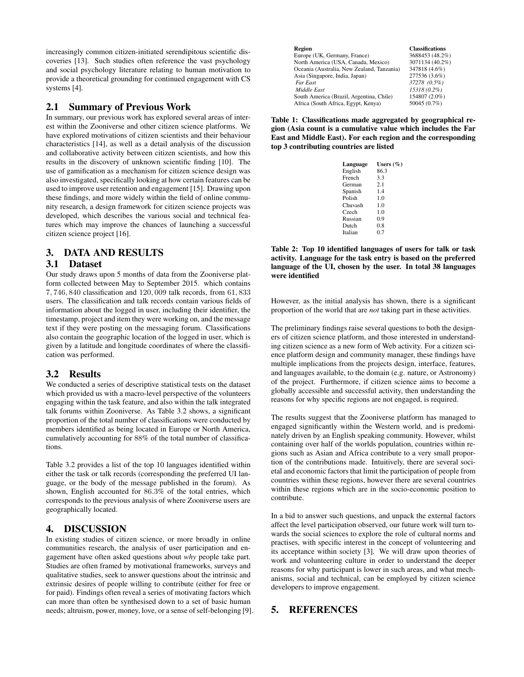increasingly common citizen-initiated serendipitous scientific discoveries [13]. Such studies often reference the vast psychology and social psychology literature relating to human motivation to provide a theoretical grounding for continued engagement with CS systems [4].

## 2.1 Summary of Previous Work

In summary, our previous work has explored several areas of interest within the Zooniverse and other citizen science platforms. We have explored motivations of citizen scientists and their behaviour characteristics [14], as well as a detail analysis of the discussion and collaborative activity between citizen scientists, and how this results in the discovery of unknown scientific finding [10]. The use of gamification as a mechanism for citizen science design was also investigated, specifically looking at how certain features can be used to improve user retention and engagement [15]. Drawing upon these findings, and more widely within the field of online community research, a design framework for citizen science projects was developed, which describes the various social and technical features which may improve the chances of launching a successful citizen science project [16].

# 3. DATA AND RESULTS

#### 3.1 Dataset

Our study draws upon 5 months of data from the Zooniverse platform collected between May to September 2015. which contains 7, 746, 840 classification and 120, 009 talk records, from 61, 833 users. The classification and talk records contain various fields of information about the logged in user, including their identifier, the timestamp, project and item they were working on, and the message text if they were posting on the messaging forum. Classifications also contain the geographic location of the logged in user, which is given by a latitude and longitude coordinates of where the classification was performed.

# 3.2 Results

We conducted a series of descriptive statistical tests on the dataset which provided us with a macro-level perspective of the volunteers engaging within the task feature, and also within the talk integrated talk forums within Zooniverse. As Table 3.2 shows, a significant proportion of the total number of classifications were conducted by members identified as being located in Europe or North America, cumulatively accounting for 88% of the total number of classifications.

Table 3.2 provides a list of the top 10 languages identified within either the task or talk records (corresponding the preferred UI language, or the body of the message published in the forum). As shown, English accounted for 86.3% of the total entries, which corresponds to the previous analysis of where Zooniverse users are geographically located.

# 4. DISCUSSION

In existing studies of citizen science, or more broadly in online communities research, the analysis of user participation and engagement have often asked questions about *why* people take part. Studies are often framed by motivational frameworks, surveys and qualitative studies, seek to answer questions about the intrinsic and extrinsic desires of people willing to contribute (either for free or for paid). Findings often reveal a series of motivating factors which can more than often be synthesised down to a set of basic human needs; altruism, power, money, love, or a sense of self-belonging [9].

| <b>Region</b>                              | <b>Classifications</b> |
|--------------------------------------------|------------------------|
| Europe (UK, Germany, France)               | 3688453 (48.2%)        |
| North America (USA, Canada, Mexico)        | 3071134 (40.2%)        |
| Oceania (Australia, New Zealand, Tanzania) | 347818 (4.6%)          |
| Asia (Singapore, India, Japan)             | 277536 (3.6%)          |
| Far East                                   | 37278 (0.5%)           |
| Middle East                                | 15318 (0.2%)           |
| South America (Brazil, Argentina, Chile)   | 154807 (2.0%)          |
| Africa (South Africa, Egypt, Kenya)        | 50045 (0.7%)           |

Table 1: Classifications made aggregated by geographical region (Asia count is a cumulative value which includes the Far East and Middle East). For each region and the corresponding top 3 contributing countries are listed

| Language | Users $(\%)$ |
|----------|--------------|
| English  | 86.3         |
| French   | 3.3          |
| German   | 2.1          |
| Spanish  | 14           |
| Polish   | 1.0          |
| Chuvash  | 1.0          |
| Czech    | 1.0          |
| Russian  | 0.9          |
| Dutch    | 0.8          |
| Italian  | 0.7          |
|          |              |

Table 2: Top 10 identified languages of users for talk or task activity. Language for the task entry is based on the preferred language of the UI, chosen by the user. In total 38 languages were identified

However, as the initial analysis has shown, there is a significant proportion of the world that are *not* taking part in these activities.

The preliminary findings raise several questions to both the designers of citizen science platform, and those interested in understanding citizen science as a new form of Web activity. For a citizen science platform design and community manager, these findings have multiple implications from the projects design, interface, features, and languages available, to the domain (e.g. nature, or Astronomy) of the project. Furthermore, if citizen science aims to become a globally accessible and successful activity, then understanding the reasons for why specific regions are not engaged, is required.

The results suggest that the Zooniverse platform has managed to engaged significantly within the Western world, and is predominately driven by an English speaking community. However, whilst containing over half of the worlds population, countries within regions such as Asian and Africa contribute to a very small proportion of the contributions made. Intuitively, there are several societal and economic factors that limit the participation of people from countries within these regions, however there are several countries within these regions which are in the socio-economic position to contribute.

In a bid to answer such questions, and unpack the external factors affect the level participation observed, our future work will turn towards the social sciences to explore the role of cultural norms and practises, with specific interest in the concept of volunteering and its acceptance within society [3]. We will draw upon theories of work and volunteering culture in order to understand the deeper reasons for why participant is lower in such areas, and what mechanisms, social and technical, can be employed by citizen science developers to improve engagement.

# 5. REFERENCES